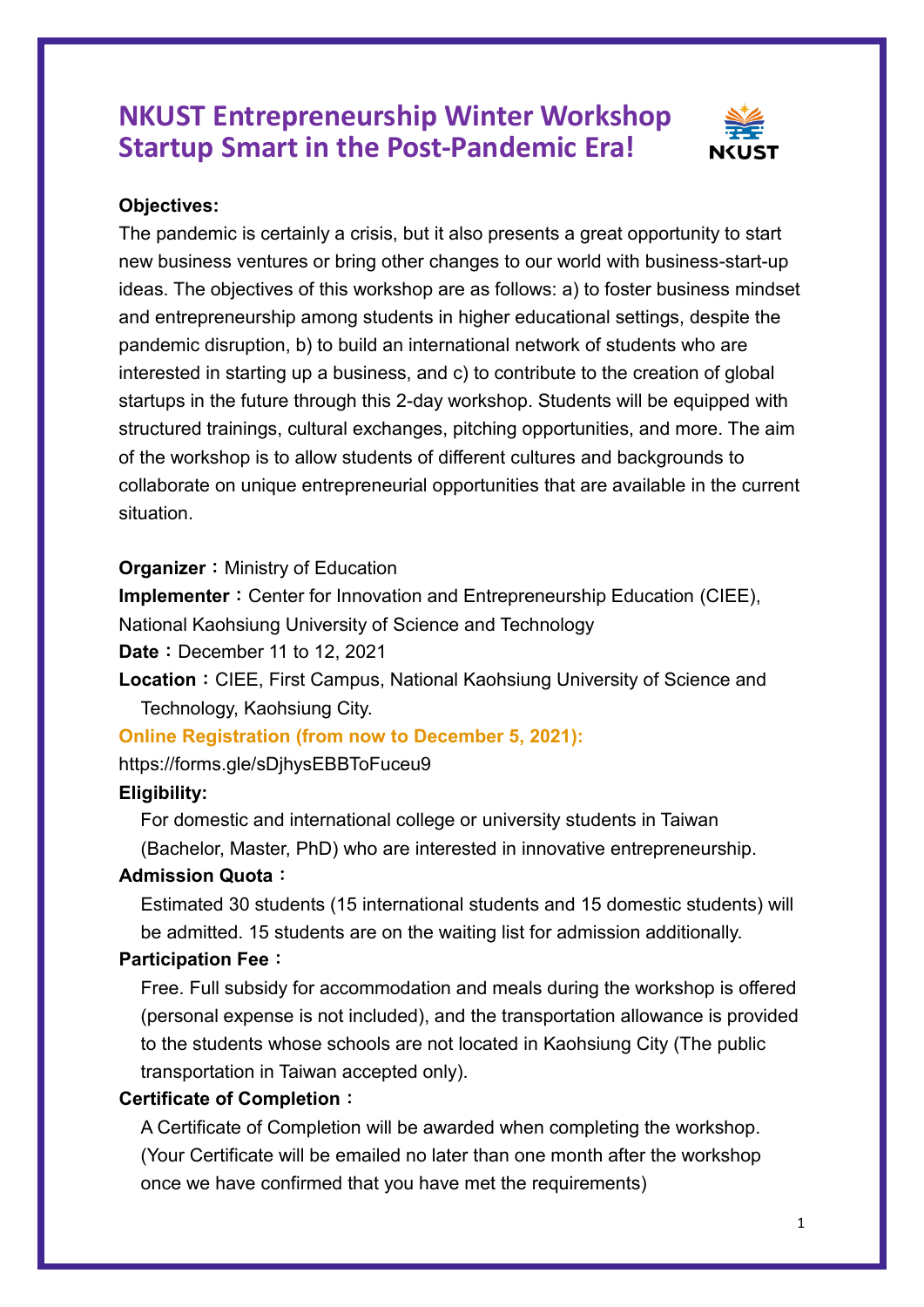## **NKUST Entrepreneurship Winter Workshop Startup Smart in the Post-Pandemic Era!**



#### **Objectives:**

The pandemic is certainly a crisis, but it also presents a great opportunity to start new business ventures or bring other changes to our world with business-start-up ideas. The objectives of this workshop are as follows: a) to foster business mindset and entrepreneurship among students in higher educational settings, despite the pandemic disruption, b) to build an international network of students who are interested in starting up a business, and c) to contribute to the creation of global startups in the future through this 2-day workshop. Students will be equipped with structured trainings, cultural exchanges, pitching opportunities, and more. The aim of the workshop is to allow students of different cultures and backgrounds to collaborate on unique entrepreneurial opportunities that are available in the current situation.

#### **Organizer:** Ministry of Education

**Implementer**: Center for Innovation and Entrepreneurship Education (CIEE),

National Kaohsiung University of Science and Technology

**Date**: December 11 to 12, 2021

Location: CIEE, First Campus, National Kaohsiung University of Science and Technology, Kaohsiung City.

#### **Online Registration (from now to December 5, 2021):**

https://forms.gle/sDjhysEBBToFuceu9

#### **Eligibility:**

For domestic and international college or university students in Taiwan (Bachelor, Master, PhD) who are interested in innovative entrepreneurship.

#### **Admission Quota**:

Estimated 30 students (15 international students and 15 domestic students) will be admitted. 15 students are on the waiting list for admission additionally.

### **Participation Fee**:

Free. Full subsidy for accommodation and meals during the workshop is offered (personal expense is not included), and the transportation allowance is provided to the students whose schools are not located in Kaohsiung City (The public transportation in Taiwan accepted only).

#### **Certificate of Completion**:

A Certificate of Completion will be awarded when completing the workshop. (Your Certificate will be emailed no later than one month after the workshop once we have confirmed that you have met the requirements)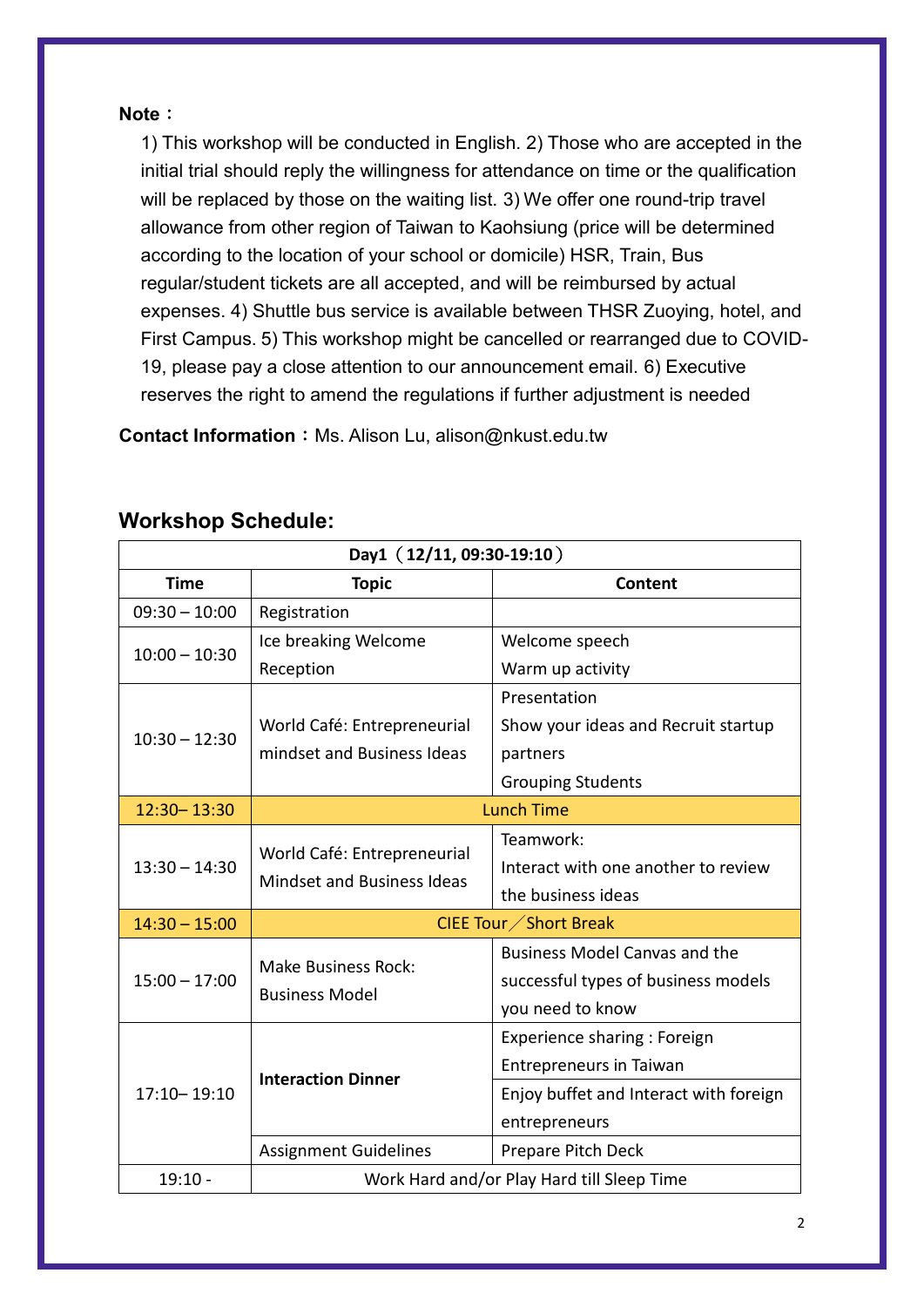#### **Note**:

1) This workshop will be conducted in English. 2) Those who are accepted in the initial trial should reply the willingness for attendance on time or the qualification will be replaced by those on the waiting list. 3) We offer one round-trip travel allowance from other region of Taiwan to Kaohsiung (price will be determined according to the location of your school or domicile) HSR, Train, Bus regular/student tickets are all accepted, and will be reimbursed by actual expenses. 4) Shuttle bus service is available between THSR Zuoying, hotel, and First Campus. 5) This workshop might be cancelled or rearranged due to COVID-19, please pay a close attention to our announcement email. 6) Executive reserves the right to amend the regulations if further adjustment is needed

**Contact Information: Ms. Alison Lu, alison@nkust.edu.tw** 

| Day1 (12/11, 09:30-19:10) |                                                                  |                                        |  |
|---------------------------|------------------------------------------------------------------|----------------------------------------|--|
| <b>Time</b>               | <b>Topic</b>                                                     | <b>Content</b>                         |  |
| $09:30 - 10:00$           | Registration                                                     |                                        |  |
| $10:00 - 10:30$           | Ice breaking Welcome                                             | Welcome speech                         |  |
|                           | Reception                                                        | Warm up activity                       |  |
| $10:30 - 12:30$           |                                                                  | Presentation                           |  |
|                           | World Café: Entrepreneurial                                      | Show your ideas and Recruit startup    |  |
|                           | mindset and Business Ideas                                       | partners                               |  |
|                           |                                                                  | <b>Grouping Students</b>               |  |
| 12:30-13:30               | <b>Lunch Time</b>                                                |                                        |  |
| $13:30 - 14:30$           | World Café: Entrepreneurial<br><b>Mindset and Business Ideas</b> | Teamwork:                              |  |
|                           |                                                                  | Interact with one another to review    |  |
|                           |                                                                  | the business ideas                     |  |
| $14:30 - 15:00$           | CIEE Tour ∕ Short Break                                          |                                        |  |
| $15:00 - 17:00$           | <b>Make Business Rock:</b><br><b>Business Model</b>              | <b>Business Model Canvas and the</b>   |  |
|                           |                                                                  | successful types of business models    |  |
|                           |                                                                  | you need to know                       |  |
| $17:10 - 19:10$           | <b>Interaction Dinner</b>                                        | Experience sharing : Foreign           |  |
|                           |                                                                  | <b>Entrepreneurs in Taiwan</b>         |  |
|                           |                                                                  | Enjoy buffet and Interact with foreign |  |
|                           |                                                                  | entrepreneurs                          |  |
|                           | <b>Assignment Guidelines</b>                                     | Prepare Pitch Deck                     |  |
| $19:10 -$                 | Work Hard and/or Play Hard till Sleep Time                       |                                        |  |

## **Workshop Schedule:**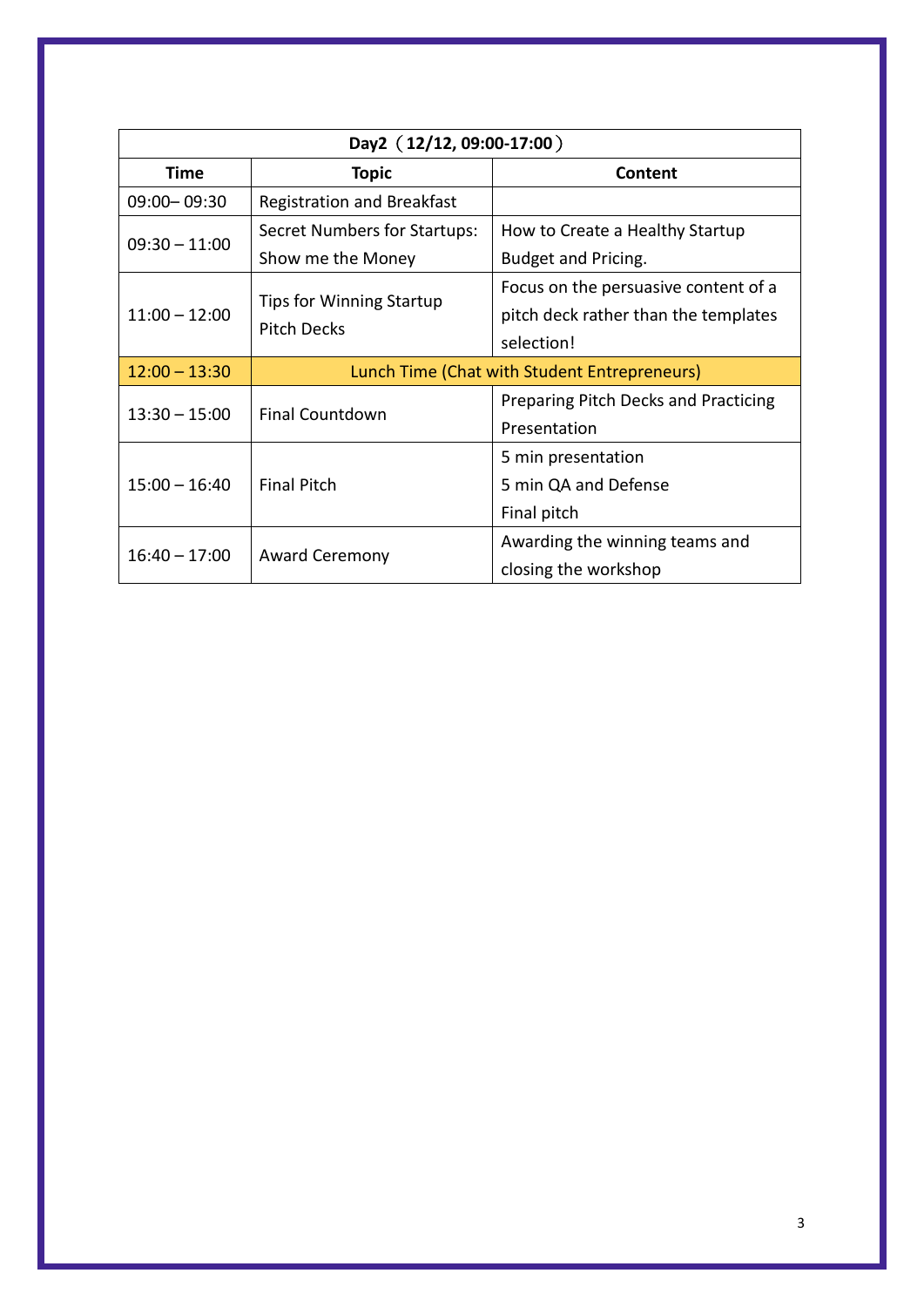| Day2 (12/12, 09:00-17:00) |                                                       |                                             |
|---------------------------|-------------------------------------------------------|---------------------------------------------|
| Time                      | <b>Topic</b>                                          | Content                                     |
| 09:00 - 09:30             | <b>Registration and Breakfast</b>                     |                                             |
| $09:30 - 11:00$           | Secret Numbers for Startups:                          | How to Create a Healthy Startup             |
|                           | Show me the Money                                     | Budget and Pricing.                         |
| $11:00 - 12:00$           | <b>Tips for Winning Startup</b><br><b>Pitch Decks</b> | Focus on the persuasive content of a        |
|                           |                                                       | pitch deck rather than the templates        |
|                           |                                                       | selection!                                  |
| $12:00 - 13:30$           | Lunch Time (Chat with Student Entrepreneurs)          |                                             |
| $13:30 - 15:00$           | <b>Final Countdown</b>                                | <b>Preparing Pitch Decks and Practicing</b> |
|                           |                                                       | Presentation                                |
| $15:00 - 16:40$           | <b>Final Pitch</b>                                    | 5 min presentation                          |
|                           |                                                       | 5 min QA and Defense                        |
|                           |                                                       | Final pitch                                 |
| $16:40 - 17:00$           | <b>Award Ceremony</b>                                 | Awarding the winning teams and              |
|                           |                                                       | closing the workshop                        |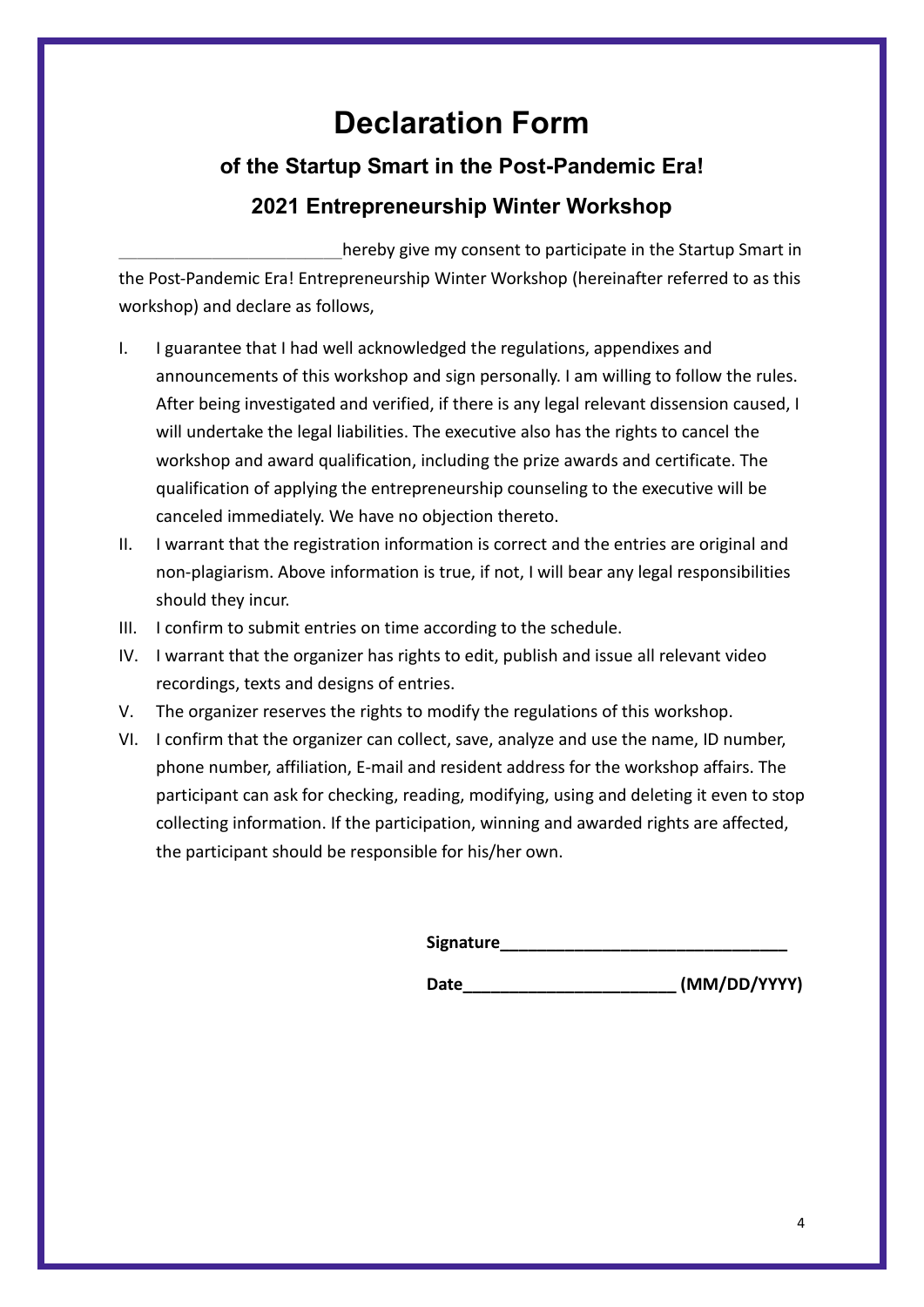# **Declaration Form**

# **of the Startup Smart in the Post-Pandemic Era! 2021 Entrepreneurship Winter Workshop**

hereby give my consent to participate in the Startup Smart in the Post-Pandemic Era! Entrepreneurship Winter Workshop (hereinafter referred to as this workshop) and declare as follows,

- I. I guarantee that I had well acknowledged the regulations, appendixes and announcements of this workshop and sign personally. I am willing to follow the rules. After being investigated and verified, if there is any legal relevant dissension caused, I will undertake the legal liabilities. The executive also has the rights to cancel the workshop and award qualification, including the prize awards and certificate. The qualification of applying the entrepreneurship counseling to the executive will be canceled immediately. We have no objection thereto.
- II. I warrant that the registration information is correct and the entries are original and non-plagiarism. Above information is true, if not, I will bear any legal responsibilities should they incur.
- III. I confirm to submit entries on time according to the schedule.
- IV. I warrant that the organizer has rights to edit, publish and issue all relevant video recordings, texts and designs of entries.
- V. The organizer reserves the rights to modify the regulations of this workshop.
- VI. I confirm that the organizer can collect, save, analyze and use the name, ID number, phone number, affiliation, E-mail and resident address for the workshop affairs. The participant can ask for checking, reading, modifying, using and deleting it even to stop collecting information. If the participation, winning and awarded rights are affected, the participant should be responsible for his/her own.

**Signature\_\_\_\_\_\_\_\_\_\_\_\_\_\_\_\_\_\_\_\_\_\_\_\_\_\_\_\_\_\_\_**

Date (MM/DD/YYYY)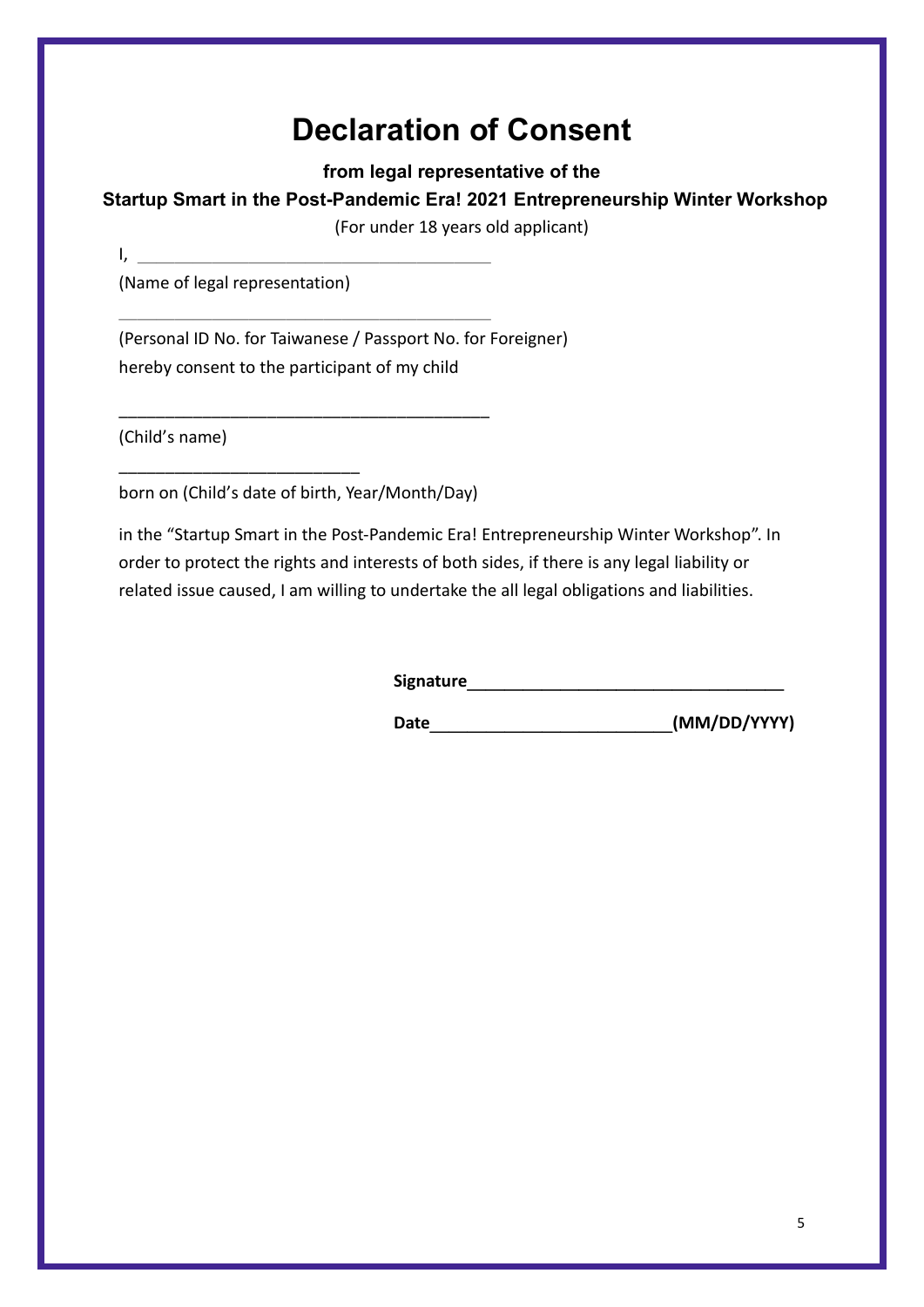# **Declaration of Consent**

**from legal representative of the** 

### **Startup Smart in the Post-Pandemic Era! 2021 Entrepreneurship Winter Workshop**

(For under 18 years old applicant)

(Name of legal representation)

\_\_\_\_\_\_\_\_\_\_\_\_\_\_\_\_\_\_\_\_\_\_\_\_\_\_

(Personal ID No. for Taiwanese / Passport No. for Foreigner) hereby consent to the participant of my child

(Child's name)

 $I_{\lambda}$ 

born on (Child's date of birth, Year/Month/Day)

\_\_\_\_\_\_\_\_\_\_\_\_\_\_\_\_\_\_\_\_\_\_\_\_\_\_\_\_\_\_\_\_\_\_\_\_\_\_\_\_

 $\mathcal{L}=\mathcal{L}=\mathcal{L}=\mathcal{L}=\mathcal{L}=\mathcal{L}=\mathcal{L}=\mathcal{L}=\mathcal{L}=\mathcal{L}=\mathcal{L}=\mathcal{L}=\mathcal{L}=\mathcal{L}=\mathcal{L}=\mathcal{L}=\mathcal{L}=\mathcal{L}=\mathcal{L}=\mathcal{L}=\mathcal{L}=\mathcal{L}=\mathcal{L}=\mathcal{L}=\mathcal{L}=\mathcal{L}=\mathcal{L}=\mathcal{L}=\mathcal{L}=\mathcal{L}=\mathcal{L}=\mathcal{L}=\mathcal{L}=\mathcal{L}=\mathcal{L}=\mathcal{L}=\mathcal{$ 

in the "Startup Smart in the Post-Pandemic Era! Entrepreneurship Winter Workshop". In order to protect the rights and interests of both sides, if there is any legal liability or related issue caused, I am willing to undertake the all legal obligations and liabilities.

**Signature**\_\_\_\_\_\_\_\_\_\_\_\_\_\_\_\_\_

**Date**\_\_\_\_\_\_\_\_\_\_\_\_\_**(MM/DD/YYYY)**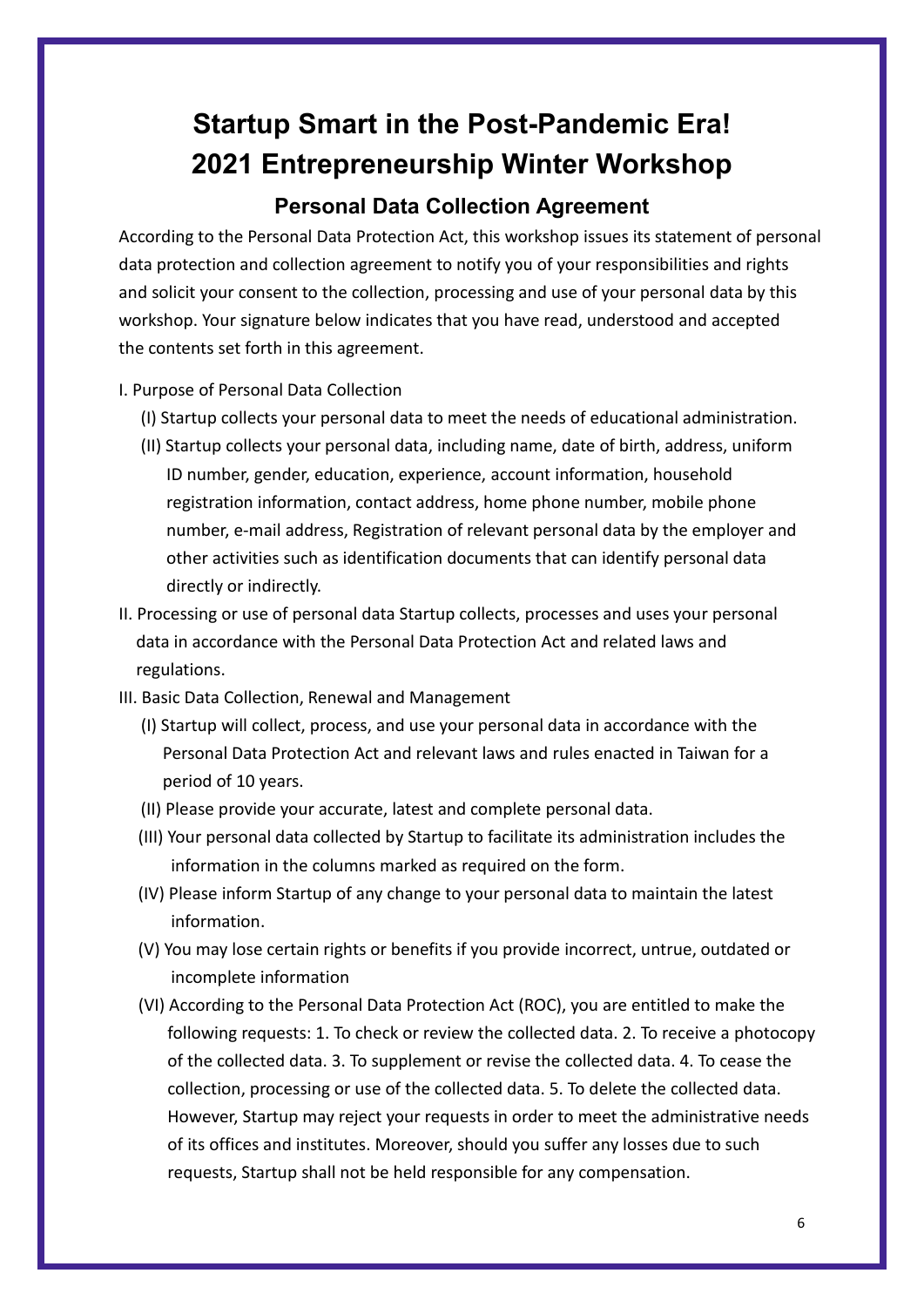# **Startup Smart in the Post-Pandemic Era! 2021 Entrepreneurship Winter Workshop**

### **Personal Data Collection Agreement**

According to the Personal Data Protection Act, this workshop issues its statement of personal data protection and collection agreement to notify you of your responsibilities and rights and solicit your consent to the collection, processing and use of your personal data by this workshop. Your signature below indicates that you have read, understood and accepted the contents set forth in this agreement.

- I. Purpose of Personal Data Collection
	- (I) Startup collects your personal data to meet the needs of educational administration.
	- (II) Startup collects your personal data, including name, date of birth, address, uniform ID number, gender, education, experience, account information, household registration information, contact address, home phone number, mobile phone number, e-mail address, Registration of relevant personal data by the employer and other activities such as identification documents that can identify personal data directly or indirectly.
- II. Processing or use of personal data Startup collects, processes and uses your personal data in accordance with the Personal Data Protection Act and related laws and regulations.
- III. Basic Data Collection, Renewal and Management
	- (I) Startup will collect, process, and use your personal data in accordance with the Personal Data Protection Act and relevant laws and rules enacted in Taiwan for a period of 10 years.
	- (II) Please provide your accurate, latest and complete personal data.
	- (III) Your personal data collected by Startup to facilitate its administration includes the information in the columns marked as required on the form.
	- (IV) Please inform Startup of any change to your personal data to maintain the latest information.
	- (V) You may lose certain rights or benefits if you provide incorrect, untrue, outdated or incomplete information
	- (VI) According to the Personal Data Protection Act (ROC), you are entitled to make the following requests: 1. To check or review the collected data. 2. To receive a photocopy of the collected data. 3. To supplement or revise the collected data. 4. To cease the collection, processing or use of the collected data. 5. To delete the collected data. However, Startup may reject your requests in order to meet the administrative needs of its offices and institutes. Moreover, should you suffer any losses due to such requests, Startup shall not be held responsible for any compensation.